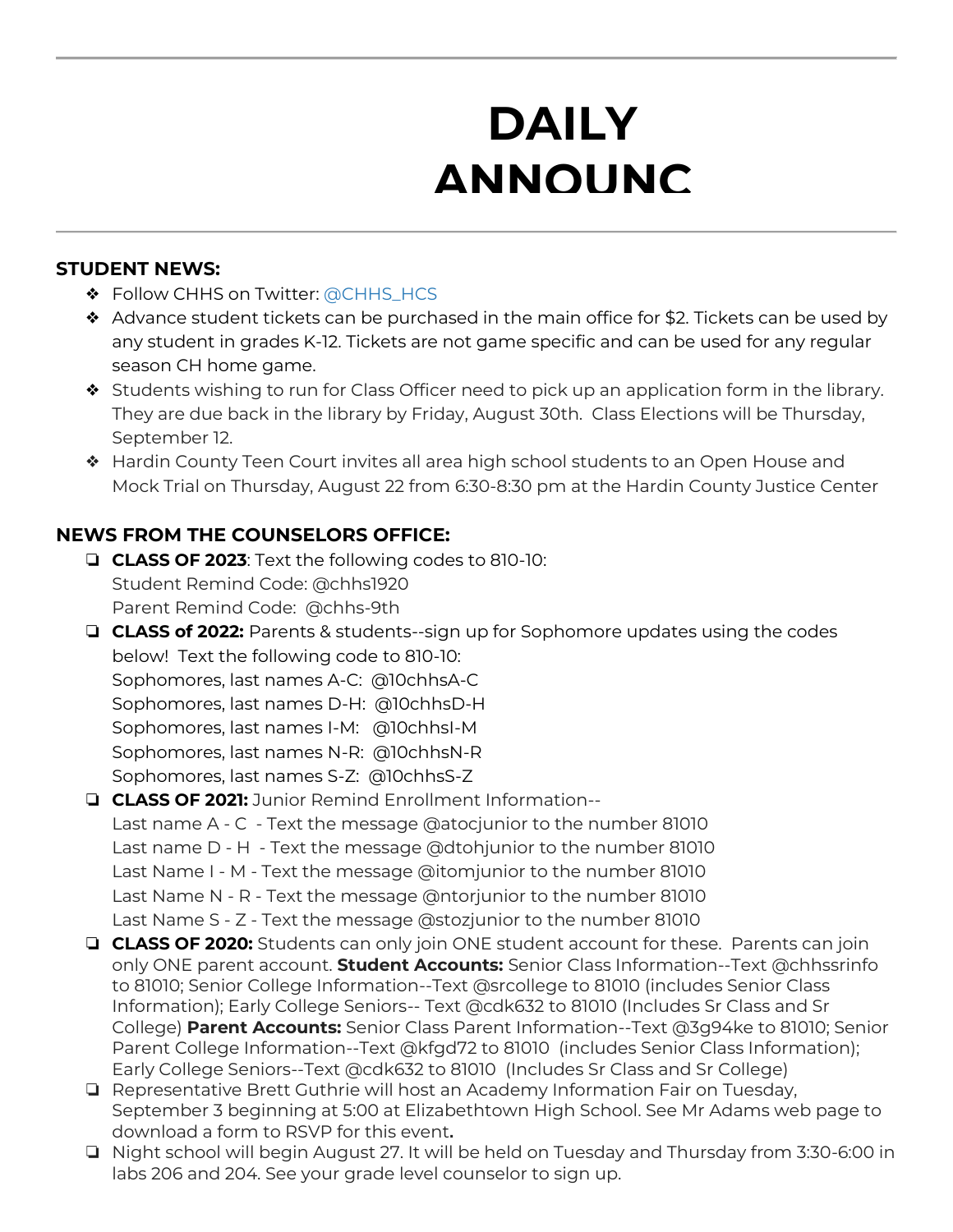# **DAILY ANNOUNC**

**EMENTS AND STRUCK SERVICES** 

#### **STUDENT NEWS:**

- ❖ Follow CHHS on Twitter: [@CHHS\\_HCS](https://twitter.com/CHHS_HCS)
- ❖ Advance student tickets can be purchased in the main office for \$2. Tickets can be used by any student in grades K-12. Tickets are not game specific and can be used for any regular season CH home game.
- ❖ Students wishing to run for Class Officer need to pick up an application form in the library. They are due back in the library by Friday, August 30th. Class Elections will be Thursday, September 12.
- ❖ Hardin County Teen Court invites all area high school students to an Open House and Mock Trial on Thursday, August 22 from 6:30-8:30 pm at the Hardin County Justice Center

### **NEWS FROM THE COUNSELORS OFFICE:**

- ❏ **CLASS OF 2023**: Text the following codes to 810-10: Student Remind Code: @chhs1920 Parent Remind Code: @chhs-9th
- ❏ **CLASS of 2022:** Parents & students--sign up for Sophomore updates using the codes below! Text the following code to 810-10: Sophomores, last names A-C: @10chhsA-C Sophomores, last names D-H: @10chhsD-H Sophomores, last names I-M: @10chhsI-M Sophomores, last names N-R: @10chhsN-R Sophomores, last names S-Z: @10chhsS-Z ❏ **CLASS OF 2021:** Junior Remind Enrollment Information--
- Last name A C Text the message @atocjunior to the number 81010 Last name D - H - Text the message @dtohjunior to the number 81010 Last Name I - M - Text the message @itomjunior to the number 81010 Last Name N - R - Text the message @ntorjunior to the number 81010 Last Name S - Z - Text the message @stozjunior to the number 81010
- ❏ **CLASS OF 2020:** Students can only join ONE student account for these. Parents can join only ONE parent account. **Student Accounts:** Senior Class Information--Text @chhssrinfo to 81010; Senior College Information--Text @srcollege to 81010 (includes Senior Class Information); Early College Seniors-- Text @cdk632 to 81010 (Includes Sr Class and Sr College) **Parent Accounts:** Senior Class Parent Information--Text @3g94ke to 81010; Senior Parent College Information--Text @kfgd72 to 81010 (includes Senior Class Information); Early College Seniors--Text @cdk632 to 81010 (Includes Sr Class and Sr College)
- ❏ Representative Brett Guthrie will host an Academy Information Fair on Tuesday, September 3 beginning at 5:00 at Elizabethtown High School. See Mr Adams web page to download a form to RSVP for this event**.**
- ❏ Night school will begin August 27. It will be held on Tuesday and Thursday from 3:30-6:00 in labs 206 and 204. See your grade level counselor to sign up.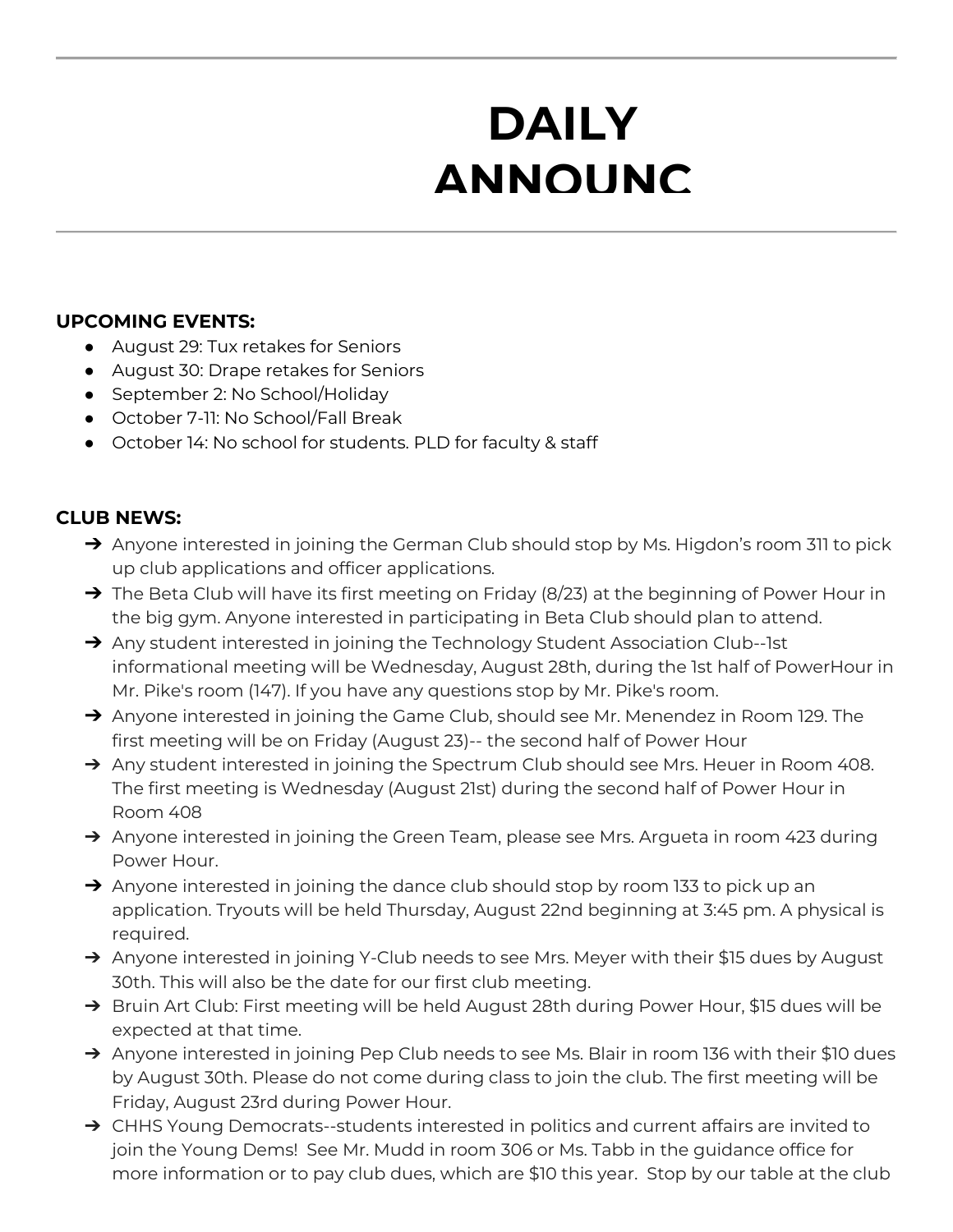# **DAILY ANNOUNC**

**EMENTS AND STRUCK SERVICES** 

#### **UPCOMING EVENTS:**

- August 29: Tux retakes for Seniors
- August 30: Drape retakes for Seniors
- September 2: No School/Holiday
- October 7-11: No School/Fall Break
- October 14: No school for students. PLD for faculty & staff

#### **CLUB NEWS:**

- → Anyone interested in joining the German Club should stop by Ms. Higdon's room 311 to pick up club applications and officer applications.
- $\rightarrow$  The Beta Club will have its first meeting on Friday (8/23) at the beginning of Power Hour in the big gym. Anyone interested in participating in Beta Club should plan to attend.
- → Any student interested in joining the Technology Student Association Club--1st informational meeting will be Wednesday, August 28th, during the 1st half of PowerHour in Mr. Pike's room (147). If you have any questions stop by Mr. Pike's room.
- → Anyone interested in joining the Game Club, should see Mr. Menendez in Room 129. The first meeting will be on Friday (August 23)-- the second half of Power Hour
- → Any student interested in joining the Spectrum Club should see Mrs. Heuer in Room 408. The first meeting is Wednesday (August 21st) during the second half of Power Hour in Room 408
- → Anyone interested in joining the Green Team, please see Mrs. Argueta in room 423 during Power Hour.
- → Anyone interested in joining the dance club should stop by room 133 to pick up an application. Tryouts will be held Thursday, August 22nd beginning at 3:45 pm. A physical is required.
- → Anyone interested in joining Y-Club needs to see Mrs. Meyer with their \$15 dues by August 30th. This will also be the date for our first club meeting.
- → Bruin Art Club: First meeting will be held August 28th during Power Hour, \$15 dues will be expected at that time.
- → Anyone interested in joining Pep Club needs to see Ms. Blair in room 136 with their \$10 dues by August 30th. Please do not come during class to join the club. The first meeting will be Friday, August 23rd during Power Hour.
- → CHHS Young Democrats--students interested in politics and current affairs are invited to join the Young Dems! See Mr. Mudd in room 306 or Ms. Tabb in the guidance office for more information or to pay club dues, which are \$10 this year. Stop by our table at the club